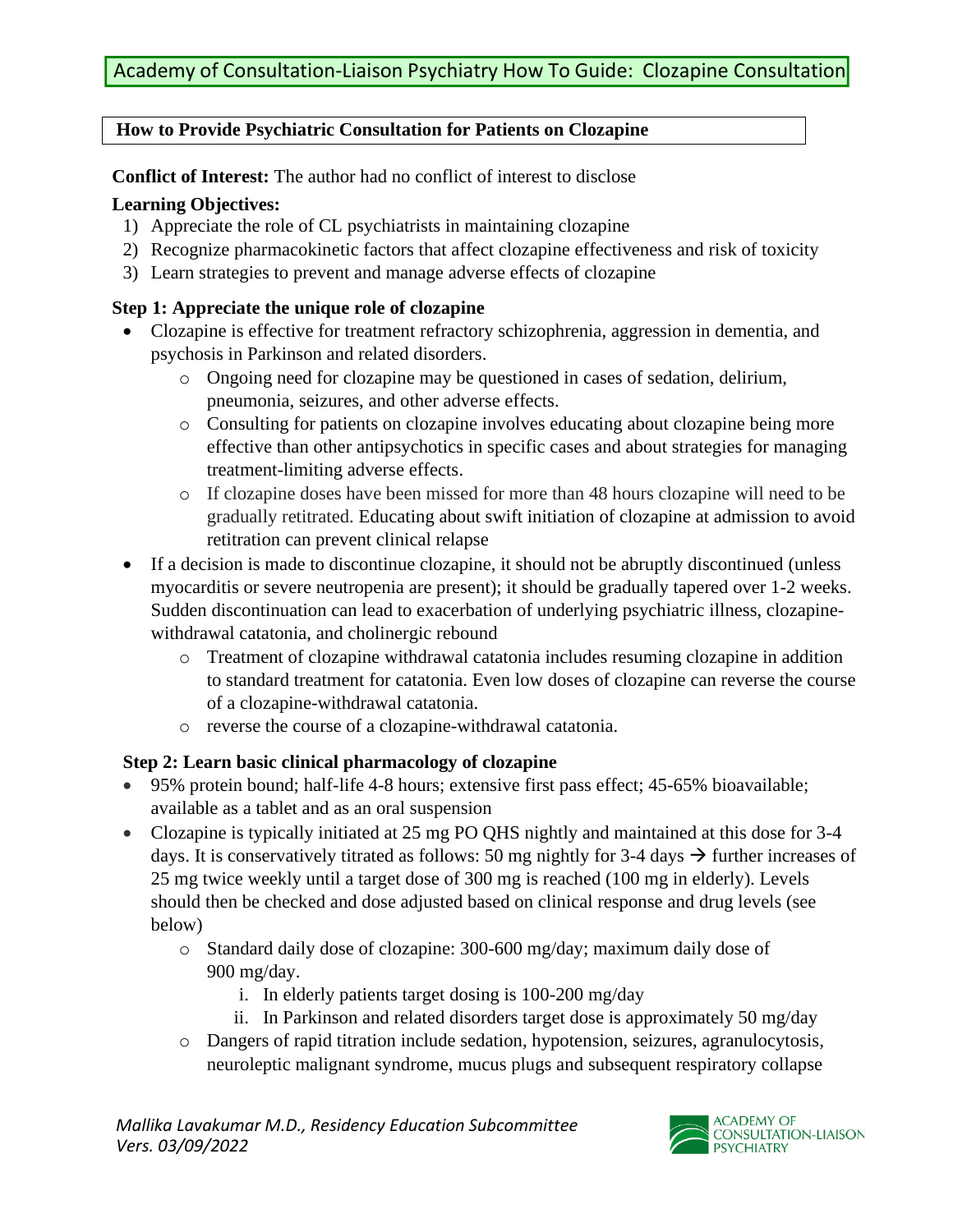## **How to Provide Psychiatric Consultation for Patients on Clozapine**

**Conflict of Interest:** The author had no conflict of interest to disclose

## **Learning Objectives:**

- 1) Appreciate the role of CL psychiatrists in maintaining clozapine
- 2) Recognize pharmacokinetic factors that affect clozapine effectiveness and risk of toxicity
- 3) Learn strategies to prevent and manage adverse effects of clozapine

# **Step 1: Appreciate the unique role of clozapine**

- Clozapine is effective for treatment refractory schizophrenia, aggression in dementia, and psychosis in Parkinson and related disorders.
	- o Ongoing need for clozapine may be questioned in cases of sedation, delirium, pneumonia, seizures, and other adverse effects.
	- o Consulting for patients on clozapine involves educating about clozapine being more effective than other antipsychotics in specific cases and about strategies for managing treatment-limiting adverse effects.
	- o If clozapine doses have been missed for more than 48 hours clozapine will need to be gradually retitrated. Educating about swift initiation of clozapine at admission to avoid retitration can prevent clinical relapse
- If a decision is made to discontinue clozapine, it should not be abruptly discontinued (unless myocarditis or severe neutropenia are present); it should be gradually tapered over 1-2 weeks. Sudden discontinuation can lead to exacerbation of underlying psychiatric illness, clozapinewithdrawal catatonia, and cholinergic rebound
	- o Treatment of clozapine withdrawal catatonia includes resuming clozapine in addition to standard treatment for catatonia. Even low doses of clozapine can reverse the course of a clozapine-withdrawal catatonia.
	- o reverse the course of a clozapine-withdrawal catatonia.

# **Step 2: Learn basic clinical pharmacology of clozapine**

- 95% protein bound; half-life 4-8 hours; extensive first pass effect; 45-65% bioavailable; available as a tablet and as an oral suspension
- Clozapine is typically initiated at 25 mg PO QHS nightly and maintained at this dose for 3-4 days. It is conservatively titrated as follows: 50 mg nightly for 3-4 days  $\rightarrow$  further increases of 25 mg twice weekly until a target dose of 300 mg is reached (100 mg in elderly). Levels should then be checked and dose adjusted based on clinical response and drug levels (see below)
	- o Standard daily dose of clozapine: 300-600 mg/day; maximum daily dose of 900 mg/day.
		- i. In elderly patients target dosing is 100-200 mg/day
		- ii. In Parkinson and related disorders target dose is approximately 50 mg/day
	- o Dangers of rapid titration include sedation, hypotension, seizures, agranulocytosis, neuroleptic malignant syndrome, mucus plugs and subsequent respiratory collapse

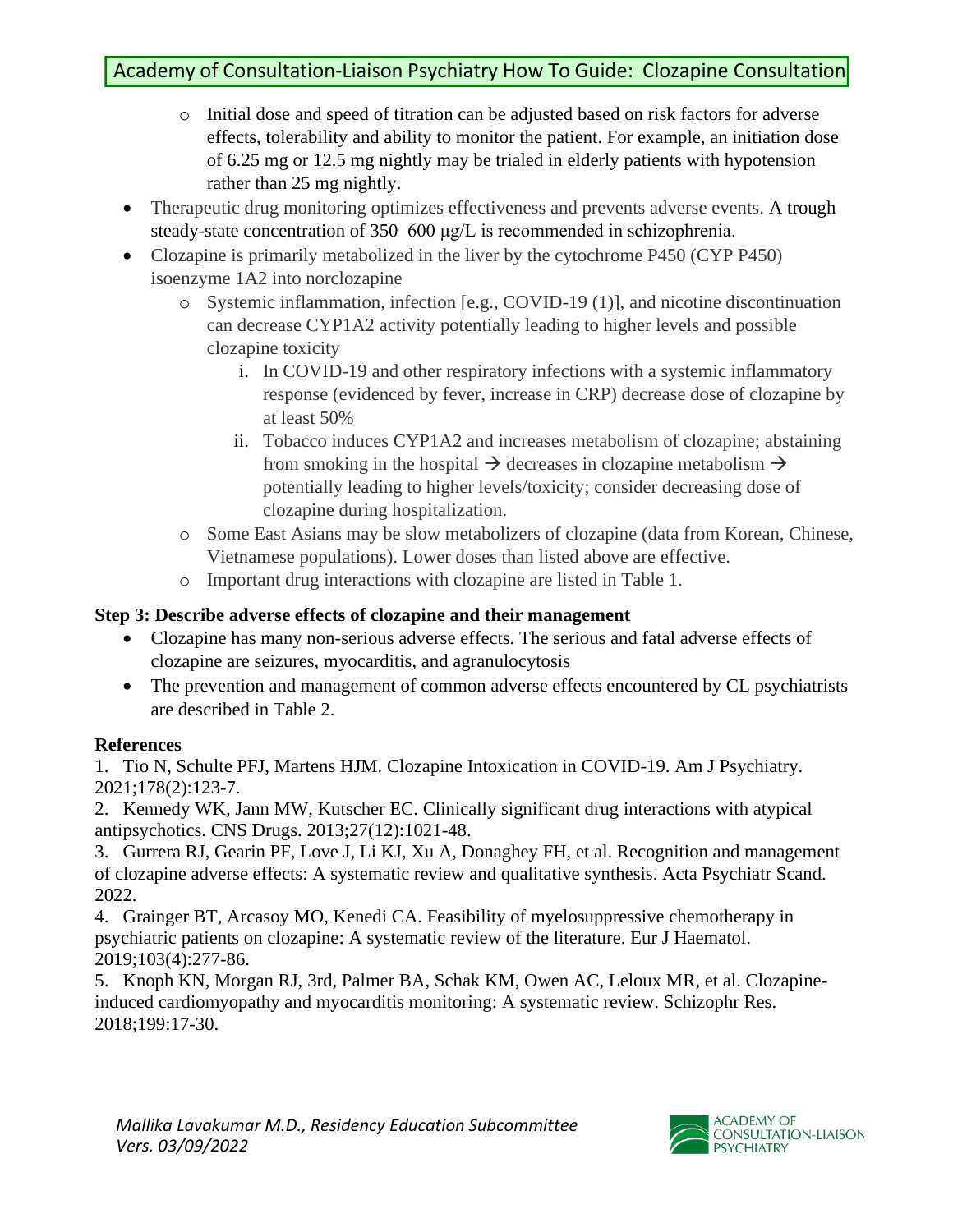- o Initial dose and speed of titration can be adjusted based on risk factors for adverse effects, tolerability and ability to monitor the patient. For example, an initiation dose of 6.25 mg or 12.5 mg nightly may be trialed in elderly patients with hypotension rather than 25 mg nightly.
- Therapeutic drug monitoring optimizes effectiveness and prevents adverse events. A trough steady-state concentration of 350–600 μg/L is recommended in schizophrenia.
- Clozapine is primarily metabolized in the liver by the cytochrome P450 (CYP P450) isoenzyme 1A2 into norclozapine
	- o Systemic inflammation, infection [e.g., COVID-19 (1)], and nicotine discontinuation can decrease CYP1A2 activity potentially leading to higher levels and possible clozapine toxicity
		- i. In COVID-19 and other respiratory infections with a systemic inflammatory response (evidenced by fever, increase in CRP) decrease dose of clozapine by at least 50%
		- ii. Tobacco induces CYP1A2 and increases metabolism of clozapine; abstaining from smoking in the hospital  $\rightarrow$  decreases in clozapine metabolism  $\rightarrow$ potentially leading to higher levels/toxicity; consider decreasing dose of clozapine during hospitalization.
	- o Some East Asians may be slow metabolizers of clozapine (data from Korean, Chinese, Vietnamese populations). Lower doses than listed above are effective.
	- o Important drug interactions with clozapine are listed in Table 1.

# **Step 3: Describe adverse effects of clozapine and their management**

- Clozapine has many non-serious adverse effects. The serious and fatal adverse effects of clozapine are seizures, myocarditis, and agranulocytosis
- The prevention and management of common adverse effects encountered by CL psychiatrists are described in Table 2.

## **References**

1. Tio N, Schulte PFJ, Martens HJM. Clozapine Intoxication in COVID-19. Am J Psychiatry. 2021;178(2):123-7.

2. Kennedy WK, Jann MW, Kutscher EC. Clinically significant drug interactions with atypical antipsychotics. CNS Drugs. 2013;27(12):1021-48.

3. Gurrera RJ, Gearin PF, Love J, Li KJ, Xu A, Donaghey FH, et al. Recognition and management of clozapine adverse effects: A systematic review and qualitative synthesis. Acta Psychiatr Scand. 2022.

4. Grainger BT, Arcasoy MO, Kenedi CA. Feasibility of myelosuppressive chemotherapy in psychiatric patients on clozapine: A systematic review of the literature. Eur J Haematol. 2019;103(4):277-86.

5. Knoph KN, Morgan RJ, 3rd, Palmer BA, Schak KM, Owen AC, Leloux MR, et al. Clozapineinduced cardiomyopathy and myocarditis monitoring: A systematic review. Schizophr Res. 2018;199:17-30.

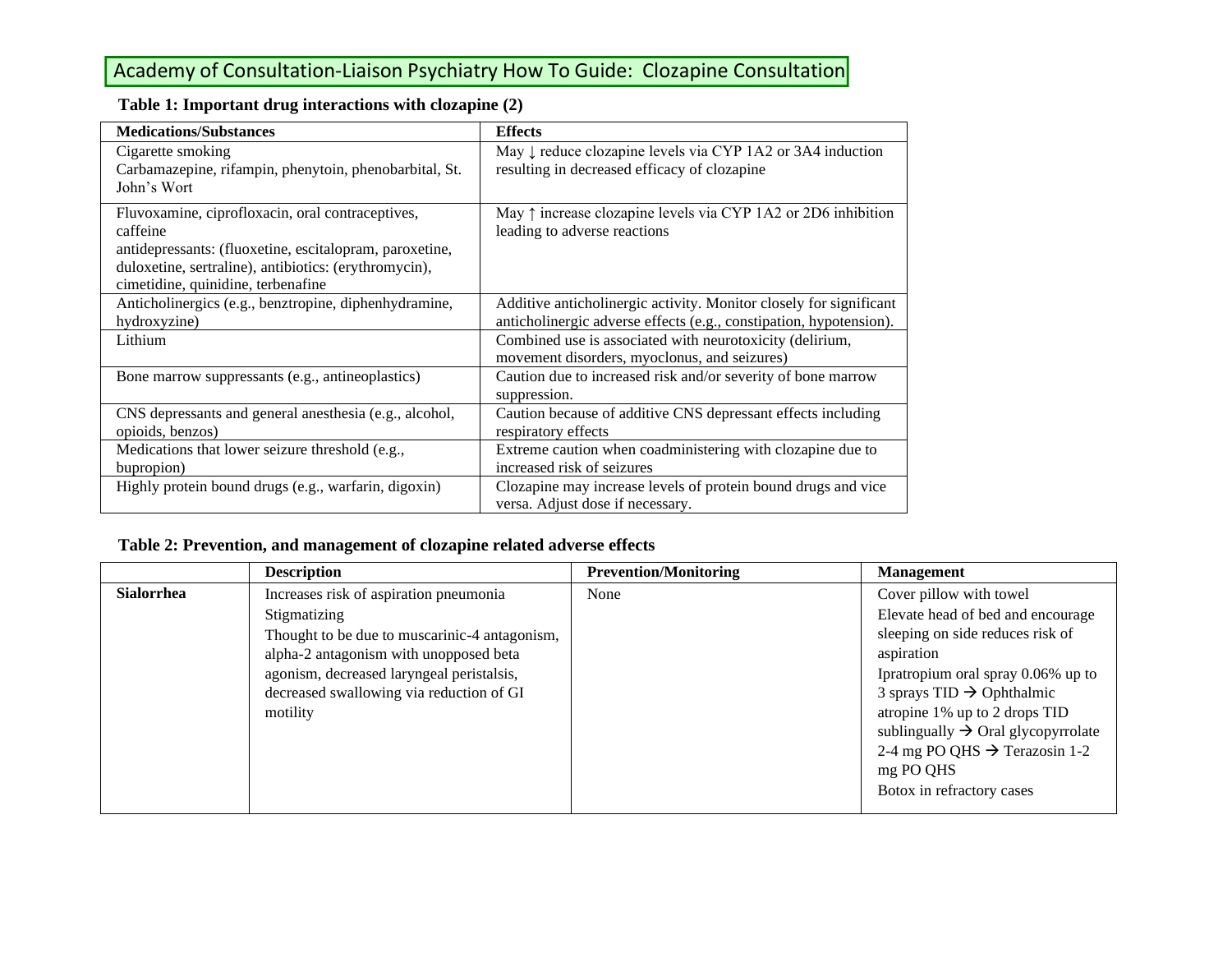# Academy of Consultation-Liaison Psychiatry How To Guide: Clozapine Consultation

| <b>Medications/Substances</b>                                                                                                                                                                                          | <b>Effects</b>                                                                                                                           |
|------------------------------------------------------------------------------------------------------------------------------------------------------------------------------------------------------------------------|------------------------------------------------------------------------------------------------------------------------------------------|
| Cigarette smoking<br>Carbamazepine, rifampin, phenytoin, phenobarbital, St.<br>John's Wort                                                                                                                             | May ↓ reduce clozapine levels via CYP 1A2 or 3A4 induction<br>resulting in decreased efficacy of clozapine                               |
| Fluvoxamine, ciprofloxacin, oral contraceptives,<br>caffeine<br>antidepressants: (fluoxetine, escitalopram, paroxetine,<br>duloxetine, sertraline), antibiotics: (erythromycin),<br>cimetidine, quinidine, terbenafine | May $\uparrow$ increase clozapine levels via CYP 1A2 or 2D6 inhibition<br>leading to adverse reactions                                   |
| Anticholinergics (e.g., benztropine, diphenhydramine,<br>hydroxyzine)                                                                                                                                                  | Additive anticholinergic activity. Monitor closely for significant<br>anticholinergic adverse effects (e.g., constipation, hypotension). |
| Lithium                                                                                                                                                                                                                | Combined use is associated with neurotoxicity (delirium,<br>movement disorders, myoclonus, and seizures)                                 |
| Bone marrow suppressants (e.g., antineoplastics)                                                                                                                                                                       | Caution due to increased risk and/or severity of bone marrow<br>suppression.                                                             |
| CNS depressants and general anesthesia (e.g., alcohol,<br>opioids, benzos)                                                                                                                                             | Caution because of additive CNS depressant effects including<br>respiratory effects                                                      |
| Medications that lower seizure threshold (e.g.,<br>bupropion)                                                                                                                                                          | Extreme caution when coadministering with clozapine due to<br>increased risk of seizures                                                 |
| Highly protein bound drugs (e.g., warfarin, digoxin)                                                                                                                                                                   | Clozapine may increase levels of protein bound drugs and vice<br>versa. Adjust dose if necessary.                                        |

### **Table 1: Important drug interactions with clozapine (2)**

### **Table 2: Prevention, and management of clozapine related adverse effects**

|                   | <b>Description</b>                            | <b>Prevention/Monitoring</b> | <b>Management</b>                              |
|-------------------|-----------------------------------------------|------------------------------|------------------------------------------------|
| <b>Sialorrhea</b> | Increases risk of aspiration pneumonia        | None                         | Cover pillow with towel                        |
|                   | Stigmatizing                                  |                              | Elevate head of bed and encourage              |
|                   | Thought to be due to muscarinic-4 antagonism, |                              | sleeping on side reduces risk of               |
|                   | alpha-2 antagonism with unopposed beta        |                              | aspiration                                     |
|                   | agonism, decreased laryngeal peristalsis,     |                              | Ipratropium oral spray 0.06% up to             |
|                   | decreased swallowing via reduction of GI      |                              | 3 sprays $TID \rightarrow Ophthalmic$          |
|                   | motility                                      |                              | atropine 1% up to 2 drops TID                  |
|                   |                                               |                              | sublingually $\rightarrow$ Oral glycopyrrolate |
|                   |                                               |                              | 2-4 mg PO QHS $\rightarrow$ Terazosin 1-2      |
|                   |                                               |                              | mg PO QHS                                      |
|                   |                                               |                              | Botox in refractory cases                      |
|                   |                                               |                              |                                                |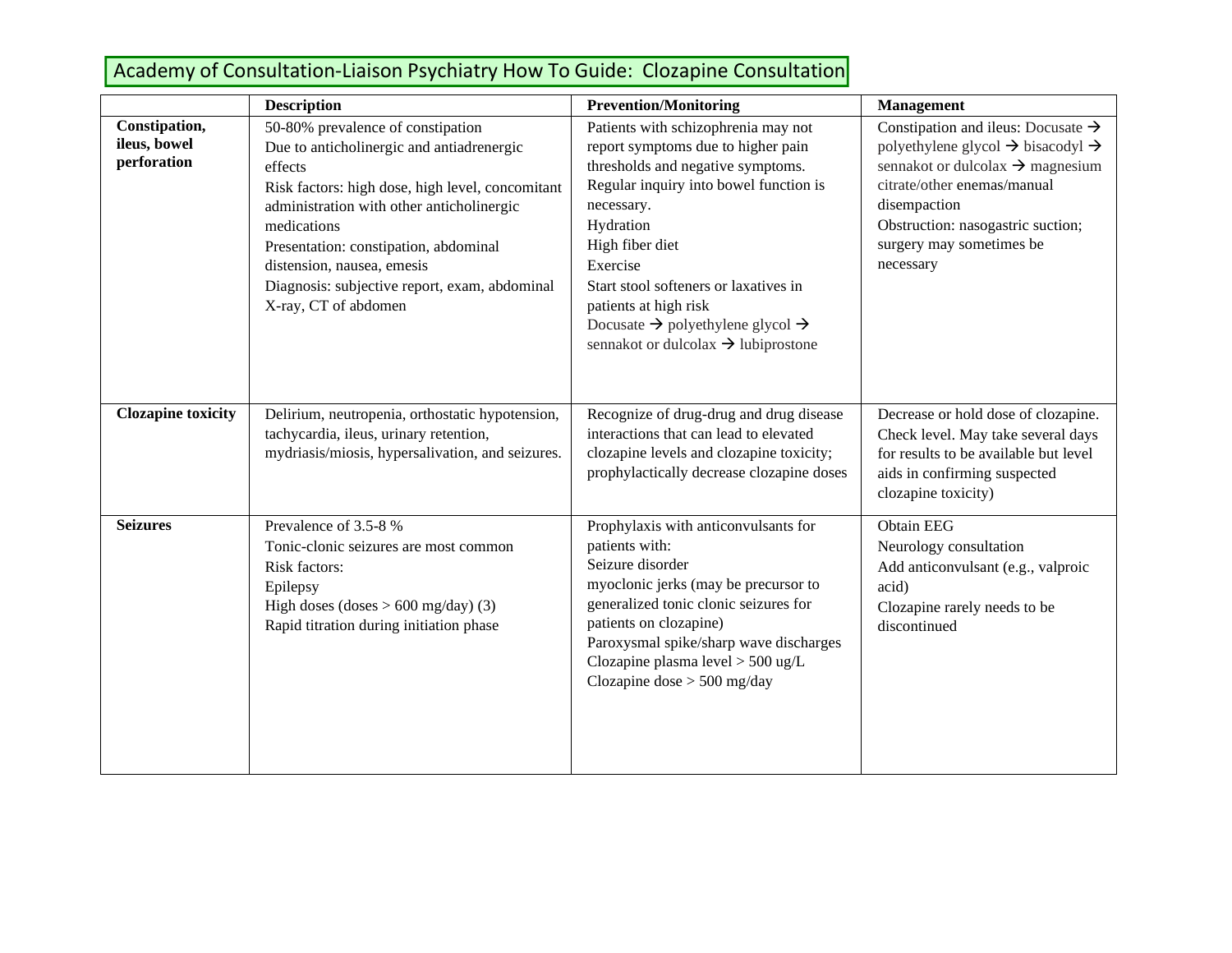# Academy of Consultation-Liaison Psychiatry How To Guide: Clozapine Consultation

|                                              | <b>Description</b>                                                                                                                                                                                                                                                                                                                                        | <b>Prevention/Monitoring</b>                                                                                                                                                                                                                                                                                                                                                                        | Management                                                                                                                                                                                                                                                                               |
|----------------------------------------------|-----------------------------------------------------------------------------------------------------------------------------------------------------------------------------------------------------------------------------------------------------------------------------------------------------------------------------------------------------------|-----------------------------------------------------------------------------------------------------------------------------------------------------------------------------------------------------------------------------------------------------------------------------------------------------------------------------------------------------------------------------------------------------|------------------------------------------------------------------------------------------------------------------------------------------------------------------------------------------------------------------------------------------------------------------------------------------|
| Constipation,<br>ileus, bowel<br>perforation | 50-80% prevalence of constipation<br>Due to anticholinergic and antiadrenergic<br>effects<br>Risk factors: high dose, high level, concomitant<br>administration with other anticholinergic<br>medications<br>Presentation: constipation, abdominal<br>distension, nausea, emesis<br>Diagnosis: subjective report, exam, abdominal<br>X-ray, CT of abdomen | Patients with schizophrenia may not<br>report symptoms due to higher pain<br>thresholds and negative symptoms.<br>Regular inquiry into bowel function is<br>necessary.<br>Hydration<br>High fiber diet<br>Exercise<br>Start stool softeners or laxatives in<br>patients at high risk<br>Docusate $\rightarrow$ polyethylene glycol $\rightarrow$<br>sennakot or dulcolax $\rightarrow$ lubiprostone | Constipation and illus: Docusate $\rightarrow$<br>polyethylene glycol $\rightarrow$ bisacodyl $\rightarrow$<br>sennakot or dulcolax $\rightarrow$ magnesium<br>citrate/other enemas/manual<br>disempaction<br>Obstruction: nasogastric suction;<br>surgery may sometimes be<br>necessary |
| <b>Clozapine toxicity</b>                    | Delirium, neutropenia, orthostatic hypotension,<br>tachycardia, ileus, urinary retention,<br>mydriasis/miosis, hypersalivation, and seizures.                                                                                                                                                                                                             | Recognize of drug-drug and drug disease<br>interactions that can lead to elevated<br>clozapine levels and clozapine toxicity;<br>prophylactically decrease clozapine doses                                                                                                                                                                                                                          | Decrease or hold dose of clozapine.<br>Check level. May take several days<br>for results to be available but level<br>aids in confirming suspected<br>clozapine toxicity)                                                                                                                |
| <b>Seizures</b>                              | Prevalence of 3.5-8 %<br>Tonic-clonic seizures are most common<br>Risk factors:<br>Epilepsy<br>High doses (doses $> 600$ mg/day) (3)<br>Rapid titration during initiation phase                                                                                                                                                                           | Prophylaxis with anticonvulsants for<br>patients with:<br>Seizure disorder<br>myoclonic jerks (may be precursor to<br>generalized tonic clonic seizures for<br>patients on clozapine)<br>Paroxysmal spike/sharp wave discharges<br>Clozapine plasma level $>$ 500 ug/L<br>Clozapine dose $> 500$ mg/day                                                                                             | <b>Obtain EEG</b><br>Neurology consultation<br>Add anticonvulsant (e.g., valproic<br>acid)<br>Clozapine rarely needs to be<br>discontinued                                                                                                                                               |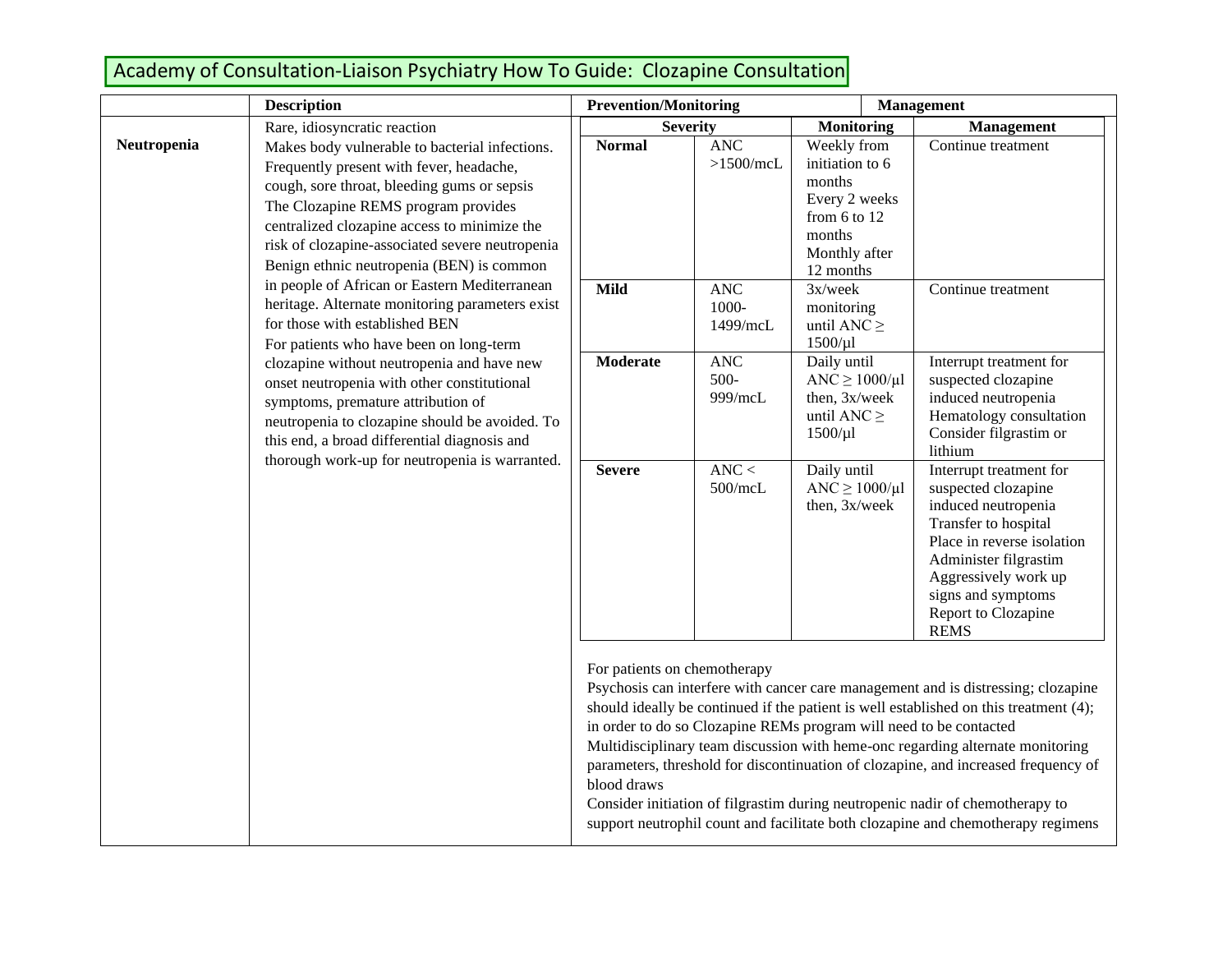# Academy of Consultation-Liaison Psychiatry How To Guide: Clozapine Consultation

|             | <b>Description</b>                                                                                                                                                                                                                                                                                                               | <b>Prevention/Monitoring</b>                |                                                                    | <b>Management</b>                                                                                                                                                                                                                        |                                                                                                                                                                                                                                                                                                                                                                                                                                                                                                                         |
|-------------|----------------------------------------------------------------------------------------------------------------------------------------------------------------------------------------------------------------------------------------------------------------------------------------------------------------------------------|---------------------------------------------|--------------------------------------------------------------------|------------------------------------------------------------------------------------------------------------------------------------------------------------------------------------------------------------------------------------------|-------------------------------------------------------------------------------------------------------------------------------------------------------------------------------------------------------------------------------------------------------------------------------------------------------------------------------------------------------------------------------------------------------------------------------------------------------------------------------------------------------------------------|
|             | Rare, idiosyncratic reaction                                                                                                                                                                                                                                                                                                     | <b>Severity</b>                             |                                                                    | <b>Monitoring</b>                                                                                                                                                                                                                        | Management                                                                                                                                                                                                                                                                                                                                                                                                                                                                                                              |
| Neutropenia | Makes body vulnerable to bacterial infections.<br>Frequently present with fever, headache,<br>cough, sore throat, bleeding gums or sepsis<br>The Clozapine REMS program provides<br>centralized clozapine access to minimize the<br>risk of clozapine-associated severe neutropenia<br>Benign ethnic neutropenia (BEN) is common | <b>Normal</b>                               | <b>ANC</b><br>$>1500$ /mcL                                         | Weekly from<br>initiation to 6<br>months<br>Every 2 weeks<br>from 6 to 12<br>months<br>Monthly after<br>12 months                                                                                                                        | Continue treatment                                                                                                                                                                                                                                                                                                                                                                                                                                                                                                      |
|             | in people of African or Eastern Mediterranean<br>heritage. Alternate monitoring parameters exist<br>for those with established BEN<br>For patients who have been on long-term                                                                                                                                                    | <b>Mild</b>                                 | <b>ANC</b><br>1000-<br>1499/mcL                                    | $3x/$ week<br>monitoring<br>until ANC $\geq$<br>$1500/\mu$ l                                                                                                                                                                             | Continue treatment                                                                                                                                                                                                                                                                                                                                                                                                                                                                                                      |
|             | clozapine without neutropenia and have new<br>onset neutropenia with other constitutional<br>symptoms, premature attribution of<br>neutropenia to clozapine should be avoided. To<br>this end, a broad differential diagnosis and<br>thorough work-up for neutropenia is warranted.                                              | <b>Moderate</b>                             | <b>ANC</b><br>$500 -$<br>999/mcL                                   | Daily until<br>$\text{ANC} \geq 1000/\mu\text{l}$<br>then, 3x/week<br>until ANC $\geq$<br>$1500/\mu$                                                                                                                                     | Interrupt treatment for<br>suspected clozapine<br>induced neutropenia<br>Hematology consultation<br>Consider filgrastim or<br>lithium                                                                                                                                                                                                                                                                                                                                                                                   |
|             | <b>Severe</b>                                                                                                                                                                                                                                                                                                                    | $\text{ANC}$<br>500/mcL                     | Daily until<br>$\text{ANC} \geq 1000/\mu\text{l}$<br>then, 3x/week | Interrupt treatment for<br>suspected clozapine<br>induced neutropenia<br>Transfer to hospital<br>Place in reverse isolation<br>Administer filgrastim<br>Aggressively work up<br>signs and symptoms<br>Report to Clozapine<br><b>REMS</b> |                                                                                                                                                                                                                                                                                                                                                                                                                                                                                                                         |
|             |                                                                                                                                                                                                                                                                                                                                  | For patients on chemotherapy<br>blood draws |                                                                    | in order to do so Clozapine REMs program will need to be contacted                                                                                                                                                                       | Psychosis can interfere with cancer care management and is distressing; clozapine<br>should ideally be continued if the patient is well established on this treatment (4);<br>Multidisciplinary team discussion with heme-onc regarding alternate monitoring<br>parameters, threshold for discontinuation of clozapine, and increased frequency of<br>Consider initiation of filgrastim during neutropenic nadir of chemotherapy to<br>support neutrophil count and facilitate both clozapine and chemotherapy regimens |